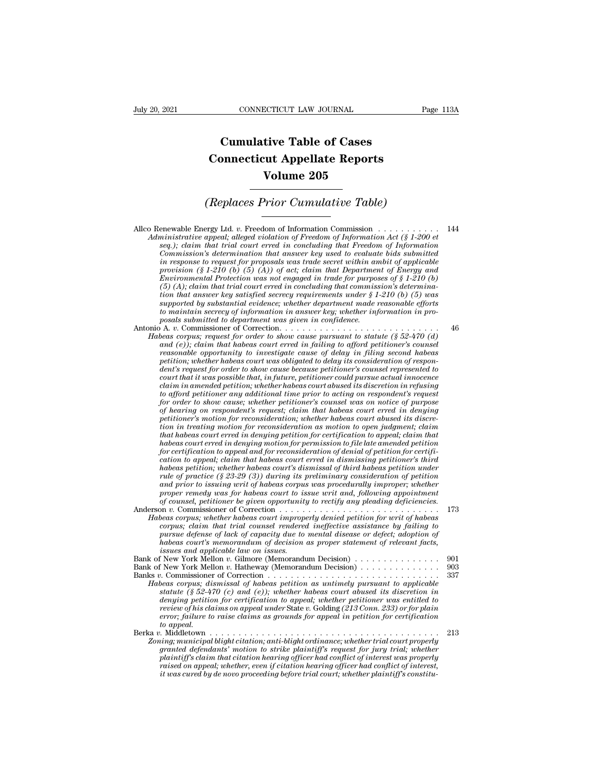## **CONNECTICUT LAW JOURNAL**<br> **Cumulative Table of Cases<br>
pnnecticut Appellate Reports CONNECTICUT LAW JOURNAL** Pag<br> **Cumulative Table of Cases<br>
Connecticut Appellate Reports<br>
Volume 205 ECTICUT LAW JOURNAL**<br> **Volume 205**<br> **Volume 205**<br> **Volume 205**<br> **Prior Cumulative Table) Cumulative Table of Cases<br>
Connecticut Appellate Reports<br>
Volume 205<br>
(Replaces Prior Cumulative Table)**<br>
Travel td. *x*. Freedom of Information Commission

Allco Renewable Energy Ltd. *<sup>v</sup>*. Freedom of Information Commission . . . . . . . . . . . <sup>144</sup> *Administrative appearing appearing appearing appearing appearing appearing appearing appearing appearing appearing appearing appearing appearing the seq.); claim that trial court error in concluding that Freedom of Inform seq.); compared in compared in commission*<br>*seq.); claim that trial court erred in concluding that Freedom of Information Act (§ 1-200 et*<br>*seq.); claim that trial court erred in concluding that Freedom of Information*<br>*c Commission:* Cumulative Table)<br> **Commission**<br> *Commission* interpreted to evaluate bids and the subministrative appeal; alleged violation of Freedom of Information Act (§ 1-200 et seq.); claim that trial court erred in c **in the proposal of all the reader of applicable**<br> **in Fig. 7.101** Cumulutive **100**<br> **i** annistrative appeal; alleged violation of Freedom of Information Act (§ 1-200 et<br>
seq.); claim that trial court erred in concluding **provided** Energy Ltd. v. Freedom of Information Commission  $\ldots$  (§ 1-200 et seq.); claim that trial court erred in concluding that Freedom of Information Act (§ 1-200 et seq.); claim that trial court erred in concluding Enewable Energy Ltd. v. Freedom of Information Commission  $\ldots$   $\ldots$   $\ldots$   $\ldots$  144<br>*Ininistrative appeal; alleged violation of Freedom of Information Act (§ 1-200 et*<br>*seq.); claim that trial court erred in concluding* enewable Energy Ltd. v. Freedom of Information Commission  $\ldots \ldots$ <br>
ministrative appeal; alleged violation of Freedom of Information Act (§ 1-200 et<br>
seq.); claim that trial court erred in concluding that Freedom of Infor *that answer appeal; alleged violation of Freedom of Information Act (§ 1-200 et* seq.); claim that trial court erred in concluding that Freedom of Information changes in  $\alpha$  is a secrecy required commission's determinat *seq.); claim that trial court erred in concluding that Freedom of Information*<br>Commission's determination that answer key used to evaluate bids submitted<br>in response to request for proposals was trade secret within ambit *Commission's determination that answer key used to evaluate bids submitted*<br>in response to request for proposals was trade secret within ambit of applicable<br>provision (§ 1-210 (b) (5) (A); of act; claim that Department of *posity in response to request for proposals was trade secret within an provision (§ 1-210 (b) (5) (A)) of act; claim that Department Protection was not engaged in trade for purposition that answer key satisfied secrecy r* provision (§ 1-210 (b) (b) (a)) of act; claim that Department of Energy and<br>Environmental Protection was not engaged in trade for purposes of § 1-210 (b)<br>(5) (A); claim that trial court erred in concluding that commission *Habeas corpus; request for order to show cause purposes of*  $\S 1-210$  (*b*) (5) (*A*); claim that trial court erred in concluding that commission's determination's to to minitat answer key requirements under  $\S 1-210$  (

*(5)* (A); claim that trial court erred in concluding that commission's determination that answer key satisfied secrecy requirements under  $\S$  1-210 (b) (5) was supported by substantial evidence; whether department made r *reasonable opportunity to investigate secrecy requirements under \secondble offorts* supported by substantial evidence; whether department made reasonable efforts to maintain secrecy of information in answer key; whether *periorial by substantial evidence; whether department made reasonable efforts* to maintain secrecy of information in answer key; whether information in pro-<br>posals submitted to department was given in confidence.<br>  $\rho$  A. *dent's request for order to show cause because petitioner's counsel represented to court that it was possible that, in future, petitioner could pursue actual innocence claim in amended petition; whether habeas court abused its discretion in refusing to afford perimal to afford perimential to statute (§ 52-470 (d)* and (e)); claim that habeas court erred in failing to afford petitioner's counsel reasonable opportunity to investigate cause of delay in filing second hab and (e)); claim that habeas court erred in jailing to afford petitioner's counsel<br>reasonable opportunity to investigate cause of delay in filing second habeas<br>petition; whether habeas court was obligated to delay its consi *reasonable opportunity to investigate cause of delay in filing second habeas*<br>petition; whether habeas court was obligated to delay its consideration of respondent's request for order to show cause because petitioner coul petition; whether habeas court was obligated to delay its consideration of respondent's request for order to show cause because petitioner's counsel represented to court that it was possible that, in future, petitioner cou *tent's request for order to show cause because petitioner's counsel represented to*<br>court that it was possible that, in future, petitioner could pursue actual innocence<br>claim in amended petition; whether habeas court dous *tourt that it was possible that, in juture, petitioner could pursue actual innocence*<br>claim in amended petition; whether habeas court abused its discretion in refusing<br>to afford petitioner any additional time prior to act *claim in amended petition; whether habeas court abused its discretion in refusing*<br>to afford petitioner any additional time prior to acting on respondent's request<br>of norder to show cause; whether petitioner's coursel was *for condertian of petitioner any additional time prior to acting on respondent's request for order to show cause; whether petitioner's counsel was on notice of purpose of hearing on respondent's request; claim that habeas for order to show cause; whether petitioner's counsel was on notice of purpose* of hearing on respondent's request; claim that habeas court erred in denying petitioner's motion for reconsideration; whether habeas court ab *of nearing on respondents request; claim that habeas court erred in denying<br>petitioner's motion for reconsideration; whether habeas court abused its discre-<br>tion in treating motion for reconsideration as motion to open ju* petitioner's motion for reconsideration; whether habeas court abused its discretion in treating motion for reconsideration as motion to open judgment; claim that habeas court erred in denying petition for certification to *and in treating motion for reconsideration as motion to open judgment; claim* that habeas court erred in denying petition for certification to appeal; claim that habeas court erred in denying motion for permission to file *proper remed in denying petition for certification to appeal; claim that* habeas court erred in denying motion for permission to file late amended petition for habeas court erred in dismissing petitioner's third cation to *habeas court erred in denying motion for permission to file late amended petition for certification to appeal and for reconsideration of denial of petition for certification to appeal, claim thabeas court erred in dismiss* for certification to appeal and for reconsideration of denial of petition for certification to appeal; claim that habeas court erred in dismissing petitioner's third habeas correction; whether habeas court's dismissed of t *Cation to appeal; claim that habeas court erred in dismissing petitioner's third habeas petition, whether habeas court's dismissal of third habeas petition rate of pactice (\$ 23-29 (3) during its preliminary consideration corpus; claim that trial counsel as court's dismissal of third habeas petition under*<br>rule of practice (§ 23-29 (3)) during its preliminary consideration of petition<br>and prior to issuing writ of habeas corpus was procedur

*pule of practice* (§ 23-29 (3)) during its preliminary consideration of petition<br>and prior to issuing writ of habeas corpus was procedurally improper; whether<br>proper renedy was for habeas court to issue writ and, followin and proor to issuing writ of habeas corpus was procedurally improper; whether<br>proper remedy was for habeas court to issue writ and, following appointment<br>of counsel, petitioner be given opportunity to rectify any pleading *proper remedy was for habeas court to is*<br>*of counsel, petitioner be given opportunity*<br>*beas corpus; whether labeas court improper*<br>*corpus; chether labeas court improper*<br>*corpus; claim that trial counsel renderer<br>pursu* Bank of New York Mellon *<sup>v</sup>*. Gilmore (Memorandum Decision) . . . . . . . . . . . . . . . <sup>901</sup> Bank of New York Mellon *<sup>v</sup>*. Hatheway (Memorandum Decision) . . . . . . . . . . . . . . <sup>903</sup> Habeas corpus; whether habeas court improperty denied petition for writ of habeas<br>
corpus; claim that trial counsel rendered ineffective assistance by failing to<br>
pursue defense of lack of capacity due to mental disease or *Corpus; clarm that trial counsel rendered ineffective assistance by failing to*<br> *Habeas court's nemorandum of decision as proper statement of relevant facts,*<br> *habeas court's nemorandum of decision as proper statement o* 

| pursue defense of lack of capacity due to mental disease or defect; adoption of        |      |
|----------------------------------------------------------------------------------------|------|
| habeas court's memorandum of decision as proper statement of relevant facts,           |      |
| <i>issues and applicable law on issues.</i>                                            |      |
| Bank of New York Mellon v. Gilmore (Memorandum Decision) 901                           |      |
| Bank of New York Mellon v. Hatheway (Memorandum Decision)                              | -903 |
|                                                                                        |      |
| Habeas corpus; dismissal of habeas petition as untimely pursuant to applicable         |      |
| statute (§ 52-470 (c) and (e)); whether habeas court abused its discretion in          |      |
| denying petition for certification to appeal; whether petitioner was entitled to       |      |
| review of his claims on appeal under State v. Golding (213 Conn. 233) or for plain     |      |
| error; failure to raise claims as grounds for appeal in petition for certification     |      |
| to appeal.                                                                             |      |
|                                                                                        |      |
| Zonina: municipal bliaht citation: anti-bliaht ordinance: whether trial court properly |      |
| granted defendants' motion to strike plaintiff's request for jury trial; whether       |      |
| plaintiff's claim that citation hearing officer had conflict of interest was properly  |      |

| denying petition for certification to appeal; whether petitioner was entitled to<br>review of his claims on appeal under State v. Golding (213 Conn. 233) or for plain<br>error; failure to raise claims as grounds for appeal in petition for certification<br>to appeal.<br>Berka v. Middletown-<br>Zoning; municipal blight citation; anti-blight ordinance; whether trial court properly<br>granted defendants' motion to strike plaintiff's request for jury trial; whether<br>plaintiff's claim that citation hearing officer had conflict of interest was properly<br>raised on appeal; whether, even if citation hearing officer had conflict of interest,<br>it was cured by de novo proceeding before trial court; whether plaintiff's constitu- |     |
|------------------------------------------------------------------------------------------------------------------------------------------------------------------------------------------------------------------------------------------------------------------------------------------------------------------------------------------------------------------------------------------------------------------------------------------------------------------------------------------------------------------------------------------------------------------------------------------------------------------------------------------------------------------------------------------------------------------------------------------------------------|-----|
|                                                                                                                                                                                                                                                                                                                                                                                                                                                                                                                                                                                                                                                                                                                                                            |     |
|                                                                                                                                                                                                                                                                                                                                                                                                                                                                                                                                                                                                                                                                                                                                                            |     |
|                                                                                                                                                                                                                                                                                                                                                                                                                                                                                                                                                                                                                                                                                                                                                            |     |
|                                                                                                                                                                                                                                                                                                                                                                                                                                                                                                                                                                                                                                                                                                                                                            |     |
|                                                                                                                                                                                                                                                                                                                                                                                                                                                                                                                                                                                                                                                                                                                                                            | 213 |
|                                                                                                                                                                                                                                                                                                                                                                                                                                                                                                                                                                                                                                                                                                                                                            |     |
|                                                                                                                                                                                                                                                                                                                                                                                                                                                                                                                                                                                                                                                                                                                                                            |     |
|                                                                                                                                                                                                                                                                                                                                                                                                                                                                                                                                                                                                                                                                                                                                                            |     |
|                                                                                                                                                                                                                                                                                                                                                                                                                                                                                                                                                                                                                                                                                                                                                            |     |
|                                                                                                                                                                                                                                                                                                                                                                                                                                                                                                                                                                                                                                                                                                                                                            |     |
|                                                                                                                                                                                                                                                                                                                                                                                                                                                                                                                                                                                                                                                                                                                                                            |     |
|                                                                                                                                                                                                                                                                                                                                                                                                                                                                                                                                                                                                                                                                                                                                                            |     |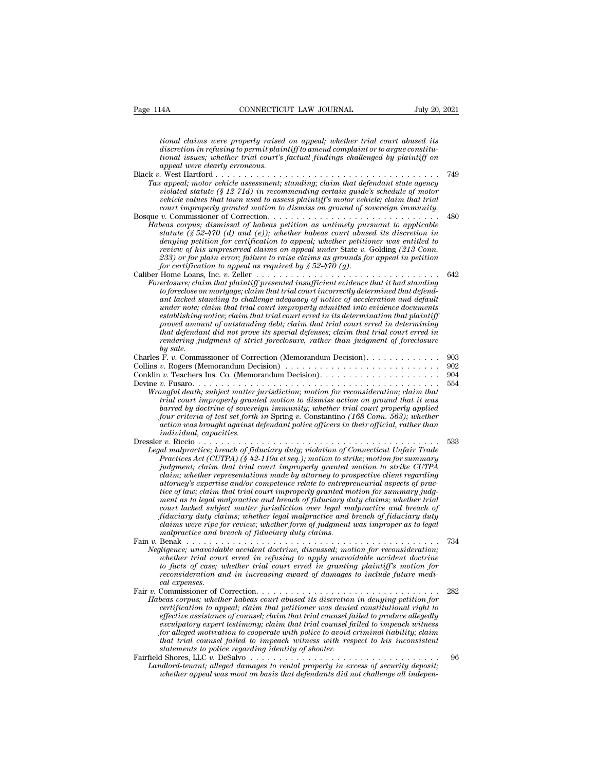*tional claims were properly raised on appeal; whether trial court abused its discretional claims were properly raised on appeal; whether trial court abused its*<br>discretion in refusing to permit plaintiff to amend complaint or to argue constitu-<br>tional issues; whether trial court's factual findings *tional claims were properly raised on appeal; whether trial court abused its*<br>*tional claims were properly raised on appeal; whether trial court abused its*<br>*discretion in refusing to permit plaintiff to amend complaint o a*<br> *appeal were properly raised<br>
discretion in refusing to permit plair<br>
<i>ional issues, whether trial court's*<br> *appeal were clearly erroneous.*<br> *West Hartford ............*<br> *c ameal motor vehicle assessment* tional claims were properly raised on appeal; whether trial court abused its<br>discretion in refusing to permit plaintiff to amend complaint or to argue constitu-<br>tional issues; whether trial court's factual findings challen *Tax appearing to permit plaintiff to amend complaint or to argue constitutional issues; whether trial court's factual findings challenged by plaintiff on appeal were clearly erroneous.*<br> *Tax appeal, motor vehicle assessm vional claims were properly raised on appeal; whether trial court abused its*<br>*discretion in refusing to permit plaintiff to amend complaint or to argue constitu-<br>tional issues; whether trial court's factual findings chal vehicle in in refusing to permit plaintiff to amend complaint or to argue constitu-<br>discretion in refusing to permit plaintiff to amend complaint or to argue constitu-<br>topnal issues; whether trial court's factual findings complear in merginsing to permit plaintiff to amend complaint or to argue constitutional issues; whether trial court's factual findings challenged by plaintiff on appeal were clearly erroneous.<br> comparison to the source* Bosque *<sup>v</sup>*. Commissioner of Correction. . . . . . . . . . . . . . . . . . . . . . . . . . . . . . <sup>480</sup> *Habeas corpus; dismissal of habeas petition as untimely pursuant to a left habeas periodical statute (§ 12-71d) in recommending crtain guide's schedule of motor vehicle values that town used to assess plaintiff's motor ve statute (§ 52-470 (d) and (e)); whether habeas court abused its discretion in denying motor venicle assessment; standing; claim that defendant state agency<br>violated statute (§ 12-71d) in recommending certain guide's schedule of motor<br>vehicle values that town used to assess plaintiff's motor vehicle review of his unpreserved to assess plaintiff's motor vehicle values in a tracticle values that trial*<br> *court improperly granted notion to dismiss on ground of sovereign immunity.*<br> *v.* Commissioner of Correction  $\ldots \ld$ *233) or for plain error; failure to raise claims as grounds for appeal in petition for certification to appeal as required by § 52-470 (g).* Caliber Home Loans, Inc. *v.* Zeller . . . . . . . . . . . . . . . . . . . . . . . . . . . . . . . . <sup>642</sup> *Fracelosure; claim that*  $(f \ S2+470)$  *and*  $f(e)$ *); whether habeas court abused its discretion in denying petition for certification to appeal; whether petitioner was entitled to review of his unpreserved claims on appeal un to foreclose on the forecal court above on the trial court above of his unpreserved claims on appeal, whether petitioner was entitled to review of his unpreserved claims on appeal under State v. Golding (213 Conn.*<br> *to 2 denying petition for certification to appeal; whether petitioner was entitled to*<br>*review of his unpreserved claims on appeal under* State v. Golding (213 Conn.<br>233) or for plain error; failure to raise claims as grounds *review of nis unpreserved claims on appeal under State v. Golding (213 Conn.*<br>
233) or for plain error; failure to raise claims as grounds for appeal in petition<br>
for certification to appeal as required by  $\S 52-470$  (g). *establishing notice; claim that trial court erred in its determination that plaintiff proverty promount to appeal as required by § 52-470 (g).*<br>
Home Loans, Inc. v. Zeller  $\ldots \ldots \ldots \ldots \ldots \ldots$  is the colosive; claim that plaintiff presented insufficient evidence that it had standing<br>
to foreclose on mortga *that defendant did not prove its special defenses; claim that trial court erred in reclosure, claim that plaintiff presented insufficient evidence that it had standing*<br>to foreclose on mortgage; claim that trial court incorrectly determined that defend-<br>ant lacked standing to challenge adequacy of notic *by preciose on*<br>
ant lacked sta<br>
under note;<br>
establishing 1<br>
proved amou<br>
that defendar<br>
rendering ju<br>
by sale.<br>
F. v. Commis<br>
r. P. Ogers (Ma ant tacked standary to challenge daequacy of notice of acceleration and aefault<br>under note; claim that trial court improperly admitted into evidence documents<br>establishing notice; claim that trial court erred in determinin mater note; claim that trial court improperty damitted this determination that plaintiff<br>establishing notice; claim that trial court erred in distelermination that plaintiff<br>proved amount of outstanding debt; claim that tr Exposed amount of outstanding debt; claim that tried in a court erred in determining<br>proved amount of outstanding debt; claim that trial court erred in<br>that defendant did not prove its special defenses; claim that trial co Frocet unional of strainaring users, calculated rest is pecial defenses; claim that trial court erred in<br>that defendant did not prove its special defenses; claim that trial court erred in<br>rendering judgment of strict forec *Wrongful death; subject matter jurisdiction; motion for reconsideration; claim that trial court improperly granted motion to dismiss action on ground that it was barred by doctrine of sovereign immunity; whether trial court properly applied four criteria of test set forth in* Spring *v.* Constantino *(168 Conn. 563); whether action was been member against defendant policing member against a policers ins.* Co. (Memorandum Decision).<br> *action was barea was been metal death; subject matter jurisdiction; motion for reconsideration; claim that*<br> *individual, capacities.* Dressler *v.* Riccio . . . . . . . . . . . . . . . . . . . . . . . . . . . . . . . . . . . . . . . . . . <sup>533</sup> *Legal malproperly granter jurisdiction; motion for reconsideration; claim that* trial court improperly granted motion to dismiss action on ground that it was barred by doctrine of sovereign immunity; whether trial court p *Practices Act (PTPA) Practices Act (PTPA) Practices Actom on ground that it was part criteria of etst forth in Spring v. Constantino (168 Conn. 563); whether action was brought against defendant police officers in t jumenta by accrime of sovereign immunity; whether trial court properly applied* four criteria of test set forth in Spring v. Constantino (168 Conn. 563); whether action was brought against defendant police officers in the *commienting to the stations made by attorney at their official, rather findividual, capacition was brought against defendant police officers in their official, rather than individual, capacities.<br>
<i>r* v. Riccio . . . . . *attorney's expertise and/or competence relate to entrepreneurial aspects of praction trial conduction*<br> *time almapractice of fiduciary duty; violation of Connecticut Unfair Trade<br>
almapractice; breach of fiduciary duty; violation of Connecticut Unfair Trade<br>
Practices Act (CUTPA) (§ 42-110a et seq.) mentice: breach of fiduciary duty; violation of Connecticut Unfair Trade*<br>*malpractices Act (CUTPA)* (§ 42-110a et seq.); motion to strike; motion for summary<br>*pudgment; claim that trial court improperly granted motion* Practices Act (CUTPA)  $(\tilde{S}^242-110a$  et seq.); motion to strike; motion for summary judgment; claim that trial court improperly granted motion to strike CUTPA claim; whether representations made by attorney to prospect *Fractices Act (CUTPA)* (§ 42-110a et seq.); motion to strike; motion for summary judgment; claim that trial court improperly granted motion to strike CUTPA claim; whether representations made by attorney to prospective cl *claim; whether representations made by attorney to prospective client regarding attorney's expertise and/or competence relate to entrepreneurial aspects of practice of law; claim that trial court improperly granted motion* attorney's expertise and/or competence relate to entrepreneurial aspects of practice of law; claim that trial court improperly granted motion for summary judgment as to legal malpractice and breach of fiduciary duty claims attorney's expertise and/or competence redate to entrepreneurial aspects of practice of law; claim that trial court improperly granted motion for summary judg-<br>ment as to legal malpractice and breach of fiduciary duty clai *Negligence; unavoidable accident doctrine, discussed; motion for summary juag-*<br>ment as to legal malpractice and breach of fiduciary duty claims; whether triate court lacked subject matter jurisdiction over legal malpract *whether trial court lacked subject matter jurisdiction over legal malpractice and breach of* fiduciary duty claims; whether furnisdiction over legal malpractice and breach of fiduciary duty claims were ripe for review; wh *tourt lacked subject matter jurisdiction over tegal malpractice and breach of fiduciary duty claims* whether legal malpractice and breach of fiduciary duty chail malpractice and breach of fiduciary duty daims.<br> *the ma realisms were ripe for review; whether form of judgment was improper as to legal* rading were ripe for review; whether form of judgment was improper as to legal malpractice and breach of fiduciary duty claims.<br>
Benak cons *to facts of case; whether trial court erred in granting plaintiff's motion for reconsideration and in increasing award of damages to include future medical expenses.*<br>Fair v. Commissioner of Correction. . . . . . . . . . Fair *<sup>v</sup>*. Commissioner of Correction. . . . . . . . . . . . . . . . . . . . . . . . . . . . . . . . <sup>282</sup> *P. Benak Corpusible accident doctrine, discussed, motion for reconsideration, whether trial court erred in refusing to apply unavoidable accident doctrine to facts of case, whether trial court erred in granting plaintif chapence; unavondable accudent doctrine, discussed; motion for reconsideration; whether trial court erred in granting plaintiff's motion for to facts of case; whether trial court erred in granting plaintiff's motion for r effective assistance of counseling to apply unavolative accident accrime*<br>to facts of case; whether trial court erred in granting plaintiff's motion for<br>reconsideration and in increasing award of damages to include future *to jacts of case; whether trial court erred in granting plaintiff's motion for*<br>reconsideration and in increasing award of damages to include future medi-<br>collexpenses.<br>Commissioner of Correction  $\ldots$ ,,,,,,,,,,,,,,,,,,,, *reconsideration and in increasing award of damages to include future medical expenses.*<br> *formissioner of Correction.*<br> *for alleged motivation to appeal, claim that petitioner was denied constitutional right to*<br> *effect that trial counsel failed to impeach witness with respect to his inconsistent* Commissioner of Correction.<br> *beas corpus; whether habeas court abused its discretioner existence refification to appeal; claim that trial counsel faeculpatory expert testimony; claim that trial counsel faeculpatory expert* Habeas corpus; whether habeas court abused its aiscretion in denying petition for<br>ertification to appeal; claim that pritioner was denied constitutional right to<br>effective assistance of counsel; claim that trial counsel fa *Landlord-tenantial perimemial perimemial perimemial right to*<br>effective assistance of counsel; claim that trial counsel failed to produce allegedly<br>exculpatory expert testimony; claim that trial counsel failed to impeach *effective assistance of counsel, claim that trial counsel failed to produce allegedly exculpatory expert testimony; claim that trial counsel failed to impeach witness for alleged motivation to cooperate with police to avo*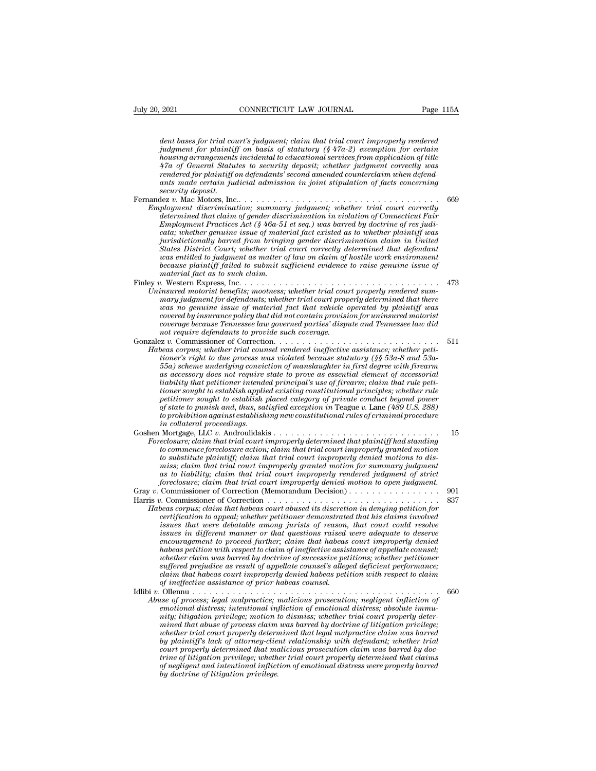*2021* **connecticutation connection** *Page 115A*<br>*dent bases for trial court's judgment; claim that trial court improperly rendered*<br>*judgment for plaintiff on basis of statutory (§ 47a-2) exemption for certain*<br>*bousi judgent for plays in CONNECTICUT LAW JOURNAL* Page 115A<br> *Judgment for plaintif on basis of statutory (§ 47a-2) exemption for certain*<br> *judgment for plaintiff on basis of statutory (§ 47a-2) exemption for certain*<br> *hous housing arrangements incluental to educational to educational to educational dent bases for trial court's judgment; claim that trial court improperly rendered judgment for plaintiff on basis of statutory (§ 47a-2) exempti* <sup>2021</sup> CONNECTICUT LAW JOURNAL Page 115A<br> *dent bases for trial court's judgment; claim that trial court improperly rendered*<br> *judgment for plaintiff on basis of statutory (§ 47a-2) exemption for certain*<br> *housing arrang rendered to asses for trial court's judgment; claim that trial court improperly rendered judgment for plaintiff on basis of statutory (§ 47a-2) exemption for certain housing arrangements incidental to educational services dent bases for trial court's judgment; claim that trial court improperly rendered judgment for plaintiff on basis of statutory* (§ 47a-2) *exemption for certain housing arrangements incidental to educational services security dent bases for trial complement for plaintiff consing arrangements*<br>*47a of General Staturendered for plaintiff cants made certain juge security deposit.*<br>*security deposit.*<br>*ex v. Mac Motors, Inc.*<br>*playment di* dentity about the main of paintiff on basis of statutory (§ 47a-2) exemption for certain housing arrangements incidental to educational services from application of title 47a of General Statutes to security deposit; whethe *Fragment jor planntyl on basis of statutory (§ 470-2) exemption for certain*<br> *housing arrangements incidental to elucational services from application of title*<br> *47a of General Statutes to security deposit; whether judg determined that claim is incluentation* of *auctational services from application of title*<br>  $47a$  of General Statutes to security deposit; whether judgment correctly was<br>
rendered for plaintiff on defendants' second amen *Figure 47d of General Statutes to security aeposit; whether judgment correctly was rendered for plaintiff on defendants' second amended counterclaim when defendants ants made certain judicial admission in joint stipulatio cataria made certain judicial admission in joint stipulation of facts concerning*<br> *cataring made certain judicial admission in joint stipulation of facts concerning*<br> *security deposit.*<br>  $\begin{array}{lll} \text{Re} \: v. \text{Mac Motors, Inc.} \ldots &$ ants maae certain juancial aamission in joint stipulation of Jacts concerning<br>iscurity deposit.<br>ployment discrimination; summary judgment; whether trial court correctly<br>determined that claim of gender discrimination in vio *States District Court; whether trial court correctly determined that defendant was wear the method in the increase wear wearstype ployment discrimination; summary judgment; whether trial court correctly determined that claim as matter of ender discrimination in violation of Connecticut Fair Employme determined that claim of gender discrimination in violation of Connecticut Fair*<br>*Employment Practices Act* (§ 46a-51 et seq.) was barred by doctrine of res judi-<br>cata; whether genuine issue of material fact existed as to *Finley v.* Western Express, Inc. . . . . . . . . . *Employment Practices Act* ( $g$  40a-51 et seq.) was oarrea by aoctrine of res juar-<br>cata; whether genuine issue of material fact existed as to whether plaintiff was<br>jurisdictionally barred from bringing gender discriminati *Unimisticitionally barred from bringing gender discrimination claim in United States District Court; whether trial court correctly determined that defendant was entitled to judgment as matter of law on claim of hostile wo mary interiorationally barrea from oringing genaer asscrimination claim in United*<br>Strates District Court; whether trial court correctly determined that defendant<br>was entitled to judgment as matter of law on claim of host *Mates District Court, whether trial court correctly aetermined that aegendant* was entitled to judgment as matter of law on claim of hostile work environment because plaintiff failed to submit sufficient evidence to raise *cocase plaintiff failed to submit sufficient evidence to raise genuine issue of because plaintiff failed to submit sufficient evidence to raise genuine issue of material fact as to such claim.*<br> *contain fact as to such c oecause plannty jauea to suomit sufficient evidence to raise genuine issue of*<br>*conterial fact as to such claim.*<br>*insured motorist benefits; mootness; whether trial court properly rendered summary judgment for defendants naterial jact as to such carm.*<br> *nothermal motorist benefits; mootness; whether trial cound mary judgment for defendants; whether trial court prop<br>
mary judgment for defendants; whether trial court prop<br>
vas no genuine i* Gonzalez *v.* Commissioner of Correction. . . . . . . . . . . . . . . . . . . . . . . . . . . . . <sup>511</sup> *Habeas corpusion for defendants; whether trial court properly determined that there*<br> *Habeas covered by insurance policy that did not contain provision for uninsured motorist*<br> *coverage because Tennessee law governed pa toorered by insurance policy that did not contain provision for uninsured motorist*<br>*toorange because Tennessee law governed parties' dispute and Tennessee law did<br>not require defendants to provide such coverage.*<br>*text Following the underlying convictional indition of material provision for uninsured motorist*<br> *Coverage because Tennessee law governed parties' dispute and Tennessee law did*<br> *not require defendants to provide such cover coverea by insurance poicey indi and not condain provision for uninsurea motorist*<br>coverage because Tennessee law governed parties' dispute and Tennessee law did<br>not require defendants to provide such coverage.<br>The access *coverage because 1 ennessee law governea parties aispute and 1 ennessee law and real to are are of Correction.*<br> *limitsioner of Correction.*<br> *lineas corpus; whether trial counsel rendered ineffective assistance; whether tioner sought to establish applied existing constitutional principles; whether rule petitioner sought to establish placed category of private conduct beyond power beas corpus; whether trad counsel rendered metjective assistance; whether peti-<br>tioner's right to due process was violated because statutory (§§ 53a-8 and 53a-<br>55a) scheme underlying conviction of manslaughter in first de tomer's right to due process was wolated because statutory (§§ 53a-8 and 53a-55a) scheme underlying conviction of manslaughter in first degree with firecarm as accessory does not require state to prove as essential elemen liability that petitioner intended principal's use of firearm; claim that rule petitioner sought to establish applied existing constitutional principles; whether rule petitioner sought to establish placed category of priv* as accessory aoes not require state to prove as essential element of accessorial<br>liability that petitioner intended principal's use of firearm; claim that rule petitioner sought to establish placed category of private cond *Foreclosure; claim that trial court implied existing constitutional principles; whether rule petitioner sought to establish placed category of private conduct beyond pover of state to punish and, thus, satisfied exception tomer sought to establish plane existing constitutional principles; whether rule*<br>petitioner sought to establish placed category of private conduct beyond power<br>of state to punish and, thus, satisfied exception in Teague *of state to punish and, thus, satisfied exception in Teague v. Lane (489 U.S. 288)*<br>to prohibition against establishing new constitutional rules of criminal procedure<br>in collateral proceedings.<br>Nortgage, LLC v. Androulida *miss; claim that trial court improperly granted motion for summary judgment as to prontotton against establishing new constitutional rules of criminal procedure*<br> *and collateral proceedings*<br> *accouries*<br> *accouries*<br> *accouries*<br> *accouries*<br> *closures* claim that trial court improperly determi *foreclosure; claim that trial court improperly denied motion to open judgment.* Gray *<sup>v</sup>*. Commissioner of Correction (Memorandum Decision) . . . . . . . . . . . . . . . . <sup>901</sup> Forecommence foreclosure action; claim that trial court improperly granted motion<br>to commence foreclosure action; claim that trial court improperly denied motions to dis-<br>miss; claim that trial court improperly granted mot *Habeas corpus; claim that trial court improperty granted motion*<br>to substitute plantiff; claim that trial court improperty denied motions to dis-<br>miss; claim that trial court improperty are more in a state in the state in *consignate parality* claim that trial court improperty denied motions to distinguistic mass; claim that trial court improperty rendered judgment of strict foreclosure; claim that trial court improperty denied motion to op *iss, carm and trade that trial court improperty graniea motion for summary juagment* of strict as to liability; claim that trial court improperty denied motion to open judgment.<br>
Commissioner of Correction (Memorandum Dec *is to tutuluty; curm that trial court improperty renaered judgment of strict foreclosure; claim that trial court improperty denied motion to open judgment.*<br> *Commissioner of Correction (Memorandum Decision)* . . . . . . *encouragement to proced further; claim that habeas corpus; claim that habeas corpus; claim that habeas court abused its discretion in denying petition for*  $c$  arison of Correction  $\ldots$ ................................... *habeas petition with respect to claim of ineffective assistance of appellate counsel; whether claim that habeas contrineration in denying petition for*<br>*whetas corpus; claim that habeas contridioned its discretion in denying petition for*<br>*discuss that were debatable among jurists of reason, that court cou beas corpus; clarm that habeas court abused its discretion in denying petition for*<br>certification to appeal; whether petitioner demonstrated that his claims involved<br>issues that were debatable among jurists of reason, tha *certification to appeal; whether petitioner demonstrated that has claims involved*<br>issues that were debatable among jurists of reason, that court could resolve<br>issues in different manner or that questions raised were adeq *of ineffective assistance of prior habeas counsel.* In the monomyneutric proceed further; claim that habeas court improperly denied<br>habeas petition with respect to claim of ineffective assistance of appellate counsel;<br>whether claim was barred by doctrine of successive petit *Abuse spection with respect to claim of ineffective assistance of appellate counsel;*<br> *Ables petition with respect to claim of ineffective assistance of appellate counsels*<br> *Abuse provide provide as result of appellate emotional distress; intentional distress; intentional influence of succession percelaim that habeas count improperty assistance of successive petitions; whether performance; suffered prejudice as result of appellate couns niffered prejudice as result of appellate coursel's alleged deficient performance; suffered prejudice as result of appellate coursel's alleged deficient performance; claim claim that habeas court improrely denied habeas p mined that habeas court improperly denied habeas petition with respect to claim that habeas court improperly denied habeas petition with respect to claim of of ineffective assistance of privilege;*<br>Ollemnu . . . . . . . . *whether trial court properly determined that legal malpractice claim was barred by plaintiff's lack of attorney-client relationship with defendant; whether trial court properly determined that malicious prosecution claim was barred by doctse of process; tegal matpractice; maticions prosecution; negligent infliction of emotional distress; intentional infliction of emotional distress; absolute immunity; litigation privilege; motion to dismiss; whether trial emotional distress; intentional infliction of emotional distress; absolute imminity; litigation privilege; motion to dismiss; whether trial court properly determined that legal malpractice claim was barred by doctrine of buty; litigation privilege; motion imined that abuse of process claim whether trial court properly determined by plaintiff's lack of attorney-clie court properly determined that motion of highlant motion of highlant motio*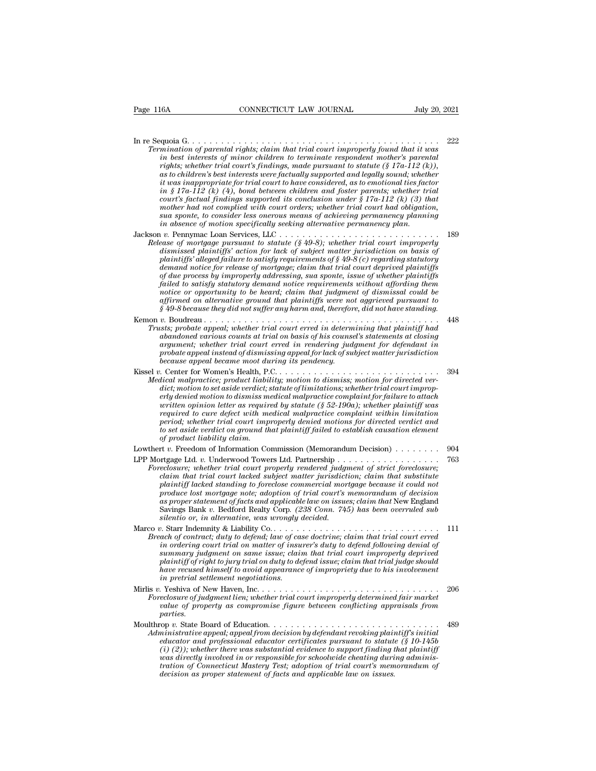In re Sequoia G. . . . . . . . . . . . . . . . . . . . . . . . . . . . . . . . . . . . . . . . . . . . <sup>222</sup> *Termination of parental rights; claim that trial court improperly found that it was*<br>*Termination of parental rights; claim that trial court improperly found that it was*<br>*in best interests of minor children to terminate i*n best interests of minor children to terminate respondent motion of parental rights; claim that trial court improperly found that it was in best interests of minor children to terminate respondent mother's parental rig  $r$ <sup>16</sup> rights; when  $r$  connective trial court  $\frac{1}{2}$  and  $\frac{1}{2}$  and  $\frac{1}{2}$  and  $\frac{1}{2}$  and  $\frac{1}{2}$  and  $\frac{1}{2}$  and  $\frac{1}{2}$  and  $\frac{1}{2}$  and  $\frac{1}{2}$  and  $\frac{1}{2}$  and  $\frac{1}{2}$  are  $\frac{1}{2}$  in the  $\$ *as to children's formation of parental rights; claim that trial court improperly found that it was*<br>in best interests of minor children to terminate respondent mother's parental<br>rights; whether trial court's findings, mad <sup>222</sup><br> *initial of parental rights; claim that trial court improperly found that it was<br>
in best interests of minor children to terminate respondent mother's parental<br>
<i>rights; whether trial court's findings, made pursuant in § 17a-112 (k)* (4), bond between children and foster parameters and the minor children in best interests of minor children to terminate respondent mother's parental rights; whether trial court's findings, made pursuant *court in best inferred its court improperly found that it was*<br> *court improperly found that it was*<br> *in best interests of minor children to terminate respondent mother's parental*<br> *irights; whether trial court's findin munation of parental rights; claim that trial court improperty found that it was*<br>in best interests of minor children to terminate respondent mother's parental<br>rights; whether trial court's findings, made pursuant to stat *in best interests of minor children to terminate respondent mother's parental* rights; whether trial court's findings, made pursuant to statute (§ 17a-112 (k)), as to children's best interests were factually supported an *in absence of motion specifically supported and legally sound; whether in as independent for trial court to have considered, as to cmotional ties fact mas inappropriate for trial court to have considered, as to emotional* it was inappropriate for trial court to have considered, as to emotional ties factor<br>in § 17a-112 (k) (4), bond between children and foster parents; whether trial<br>court's factual findings supported its conclusion under § 1 *Release of mortgage pursuant to statute (§ 49-8); whether trial court's factual findings supported its conclusion under § 17a-112 (k) (3) that mother had not complied with court orders; whether trial court had obligation, dismissed plaintiffs'* action for the subset that the *distribution inder*  $\frac{1}{2}T\alpha$ . The *discrete interiors* the *discrete interiors, whether trial court had obligation*, sua sponte, to consider less onerous means of *plaints yield not complied with court orders; whether trial court had obligation,*<br> *plants and not complied with court orders; whether trial court had obligation,*<br> *plants and not consider less onerous means of achievin demand notice demand in the court of exists and sponte, where is a gonte all court had court demand planning*<br>in absence of motion specifically seeking alternative permanency plan.<br>
1 v. Pennymac Loan Services, LLC....... *of due process by improperly distribute is of due process by induced permanency planning*<br> *of due propertiess by interess by interesting alternative permanency planning*<br> *of due process by improperly distribute (\$49-8); failed to satisfy statutory demand to satisfy demand to satisfy pair.*<br> *failed to satisfy equirement to statute (§ 49-8); whether trial court improperly dismissed plaintiffs' action for lack of subject matter jurisdictio notice or opportunity to be heard; claim that judgment of dismissal could be affirmed pursuant to statute (§ 49-8); whether trual court improperty dismissed plaintiffs' action for lack of subject matter jurisdiction on basis of plaintiffs' alleged failure to satisfy requirements of § 49-8 (c) rega plaintiffs' alleged failure to satisfy requirements of \$49-8 (c) regarding statutory*<br>demand notice for release of mortgage; claim that trial court deprived plaintiffs<br>of due process by improperly addressing, sua sponte, demand notice for release of mortgage; claim that trial court deprived plaintiffs<br>of due process by improperly addressing, sua sponte, issue of whether plaintiffs<br>failed to satisfy statutory demand notice requirements with *Trusts; probate appeal; whether plainting in train that view of whether plaintiffs*<br>failed to satisfy statutory demand notice requirements without affording them<br>notice or opportunity to be heard; claim that judgment of d *abandoned various counts at trial counterpolytoned various counterpolytoned is failed to satisfy statutory demand notice requirements without affording them* notice or opportunity to be heard; claim that judgment of dismi *argument; whether trial court erred in rendering account that judgment of dismissal could be*<br>affirmed on alternative ground that plaintiffs were not aggrieved pursuant to<br> $\S$  49-8 because they did not suffer any harm and *probate are probate appeal instead of dismissing appeal of dismission coalinear and appear of dismission coaling*<br>affirmed on alternative ground that plaintiffs were not aggrieved pursuant to<br> $\hat{s}$  49-8 because they did *argument; whether trial court erred in rendering judgment for defendant in*<br>*probate appeal instead of dismissing appeal for lack of subject matter jurisdiction*<br>because appeal became moot during its pendency.<br>Kissel v. C Kissel *v.* Center for Women's Health, P.C. . . . . . . . . . . . . . . . . . . . . . . . . . . . . <sup>394</sup> *Medical malpractice; product liability; motion to dismiss; motion for directed verdiamidoned various counts at trial on basis of his counsel's statements at closing argument; whether trial court erred in rendering judgment for defendant in probate appeal instead of dismissing appeal for lack of subject examentic urbus counts at in that of alss of has collected sistements at example appeal instead of dismissing appeal for lack of subject matter jurisdiction*<br>probate appeal instead of dismissing appeal for lack of subject *written opinion letter as required by statute (§ 52-190a); whether plaintiff was required to cure defect with medical malproacing to cure of a cure of a cure of a cure for Women's Health, P.C.*<br> *reading medical malpractice; product liability; motion to dismiss; motion for directed verdict; motion to period; whether trial court improperly denied motions for directed verdict and to* set a set as ideal in the set as in the set as in the control of the directed verdict; notion to set aside verdict, that plaintifies are directed verdict; set as equived to establish capacity denied motion to dismiss *dical malpractice; product liabilitic; motion to set aside verdict; :*<br>erly denied motion to dismiss mortig are written opinion letter as required<br>required to cure defect with meriod; whether trial court impotos set aside erly denied motion to dismiss medical malpractice complaint for failure to attach<br>erly denied motion to dismiss medical malpractice complaint for failure to attach<br>written opinion letter as required by statute (§ 52-190a); written opinion letter as required by statute (§ 52-190a); whether plaintiff was<br>required to cure defect with medical malpractice complaint within limitation<br>period; whether trial court improperly denied motions for direct *Foreclosure Foreclosure Foreclosure Foreclosure Foreclosure Foreclosure Foreclosure Foreclosure Foreclosure Foreclosure*; *Foreclosure*; *Foreclosure*; *We are a foreclosure*; *We are a foreclosure*; *We comparison, whether trial court improperly denied motions for directed verdict and*<br>to set aside verdict on ground that plaintiff failed to establish causation element<br>of product liability claim.<br>The v. Freedom of Informa *plant* to set aside verdict on ground that plaintiff failed to establish causation element<br>of product liability claim.<br> $\rho$  it w. Freedom of Information Commission (Memorandum Decision)<br> $\rho$ .............................. *produce lost mortgage note; adoption of trial court's memorandum of decision as proper statement of facts and applicable lacteded, and applicable statement of strict property rendered judgment of strict foreclosure; whether trial court property rendered judgment of strict foreclosure; claim that t* Savings Bank *v.* Bedford Realty Corp*. (238 Conn. 745) has been overruled sub* rtgage Ltd. *v.* Underwood Towers Ltd. Partnership ...<br> *eclosure*, whether trial court properly rendered judge<br>
claim that trial court lacked subject matter jurisdict<br>
plaintiff lacked standing to foreclose commercial mor reaction, and an individual of the property contributed subject matter jurisdiction; claim that substitute plaintiff lacked standing to foreclose commercial mortgage because it could not produce lost mortgage note; adoptio *Breach of contract; duty to defend; law of case doctrine; claim that trial court is new oral mortgage because it could not* produce lost mortgage note; adoption of trial court's memorandum of decision as proper statement *plaintiff lacked standing to foreclose commercial mortgage because it could not produce lost mortgage note; adoption of trial court's memorandum of decision as proper statement of facts and applicable law on issues; claim summary issue in the syrings in that trial court is an interesting as proper statement of facts and applicable law on issues; claim that New England Savings Bank v. Bedford Realty Corp. (238 Conn. 745) has been overruled player sumenta of jures and approase at on essaes, calim that i*ce inglaind<br>
Savings Bank v. Bedford Realty Cop. (238 Conn. 745) has been overruled sub<br>
silentio or, in alternative, was wrongly decided.<br> *plaint* of contr *have recused himself to avoid appearance of impropriety due to his involvement in Sachino of, in distribution, tas arongsy*<br>*in Start Indemnity & Liability Co.......*<br>*in ordering court trial on matter of insu*<br>*in ordering court trial on matter of insu*<br>*in plaintiff of right to jury trial on duty Breach of contract; duty to defend; law of case doctrine; claim that trial court erred*<br>*in ordering court trial on matter of insurer's duty to defend following denial of*<br>*summary judgment on same issue; claim that trial Frequence, where functional court trial court in collecting court in a court exact where trial on matter of insurer's duty to defend following denial of* summary judgment on same issue; claim that trial court improperly *value of property as compromise figure between conflicting waveleng waveleng and summary judgment on same issue; claim that trial court improperty deprived plaintiff of right to jury trial on duty to defend issue; claim t parties.* have recused himself to avoid appearance of impropriety due to his involvement<br>
in pretrial settlement negotiations.<br>
Mirlis v. Yeshiva of New Haven, Inc.<br>
Mirlis v. Yeshiva of New Haven, Inc.<br>
Foreclosure of judgment lien *Administrative appeal; appeal from decision by defendant revoking plaintiff's initial educator and professional educator certificates pursuant to statute of property as compromise figure between conflicting appraisals from parties.*<br> *educe of property as compromise figure between conflicting appraisals fr Chain at New Haxit, i.e.,*  $\ldots$  *i.e.,*  $\ldots$  *i.e.,*  $\ldots$  *i.e.,*  $\ldots$  *i.e.,*  $\ldots$  *i.e.,*  $\ldots$  *i.e.,*  $\ldots$  *i.e.,*  $\ldots$  *i.e.,*  $\ldots$  *i.e.,*  $\ldots$  *i.e.,*  $\ldots$  *i.e.,*  $\ldots$  *i.e.,*  $\ldots$  *i.e.,*  $\ldots$  *i.e.,*  $\ldots$  *i.e.,*  $\ldots$  *i.e., \ Foreclosure of judgment lien; whether trial court improperly determined fair market*<br>
value of property as compromise figure between conflicting appraisals from<br>
parties.<br> **Moulthrop** v. State Board of Education.<br> *Admini tration*<br> *tration of Connection of Education*<br> *tration of Connecticut Mastery Instantial educator and professional educator certificates pursuant to statute* (§ 10-145b<br>
(*i*) (2)); whether there was substantial evidenc *decision as proper statement of facts and applicable law on issues.*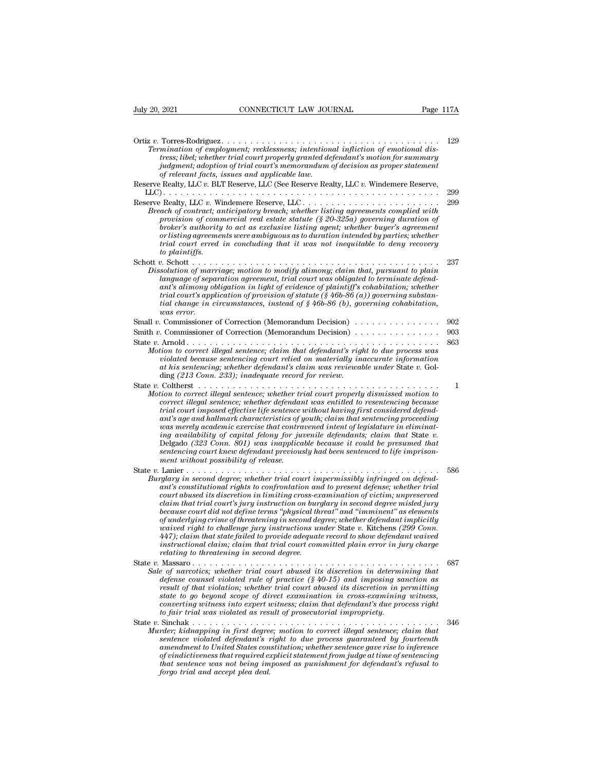| July 20. 2021                        | CONNECTICUT LAW JOURNAL                                                                                                                                                                                                                                                                                                                                                                                                                                                                                                                                                                                                                                                                                                                                                                                                           |           |
|--------------------------------------|-----------------------------------------------------------------------------------------------------------------------------------------------------------------------------------------------------------------------------------------------------------------------------------------------------------------------------------------------------------------------------------------------------------------------------------------------------------------------------------------------------------------------------------------------------------------------------------------------------------------------------------------------------------------------------------------------------------------------------------------------------------------------------------------------------------------------------------|-----------|
|                                      |                                                                                                                                                                                                                                                                                                                                                                                                                                                                                                                                                                                                                                                                                                                                                                                                                                   | Page 117A |
|                                      | Termination of employment; recklessness; intentional infliction of emotional dis-<br>tress; libel; whether trial court properly granted defendant's motion for summary<br>judgment; adoption of trial court's memorandum of decision as proper statement<br>of relevant facts, issues and applicable law.                                                                                                                                                                                                                                                                                                                                                                                                                                                                                                                         | 129       |
|                                      | Reserve Realty, LLC v. BLT Reserve, LLC (See Reserve Realty, LLC v. Windemere Reserve,                                                                                                                                                                                                                                                                                                                                                                                                                                                                                                                                                                                                                                                                                                                                            |           |
|                                      |                                                                                                                                                                                                                                                                                                                                                                                                                                                                                                                                                                                                                                                                                                                                                                                                                                   | 299       |
| to plaintiffs.                       | Breach of contract; anticipatory breach; whether listing agreements complied with<br>provision of commercial real estate statute $(\S$ 20-325a) governing duration of<br>broker's authority to act as exclusive listing agent; whether buyer's agreement<br>or listing agreements were ambiguous as to duration intended by parties; whether<br>trial court erred in concluding that it was not inequitable to deny recovery                                                                                                                                                                                                                                                                                                                                                                                                      | 299       |
| was error.                           | Dissolution of marriage; motion to modify alimony; claim that, pursuant to plain<br>language of separation agreement, trial court was obligated to terminate defend-<br>ant's alimony obligation in light of evidence of plaintiff's cohabitation; whether<br>trial court's application of provision of statute $(\frac{6}{6}46b-86(a))$ governing substan-<br>tial change in circumstances, instead of $\S 46b-86$ (b), governing cohabitation,                                                                                                                                                                                                                                                                                                                                                                                  | 237       |
|                                      | Small v. Commissioner of Correction (Memorandum Decision)                                                                                                                                                                                                                                                                                                                                                                                                                                                                                                                                                                                                                                                                                                                                                                         | 902       |
|                                      | Smith v. Commissioner of Correction (Memorandum Decision) $\dots \dots \dots \dots \dots$                                                                                                                                                                                                                                                                                                                                                                                                                                                                                                                                                                                                                                                                                                                                         | 903       |
|                                      | Motion to correct illegal sentence; claim that defendant's right to due process was<br>violated because sentencing court relied on materially inaccurate information<br>at his sentencing; whether defendant's claim was reviewable under State v. Gol-<br>ding $(213 \text{ Conn. } 233)$ ; inadequate record for review.                                                                                                                                                                                                                                                                                                                                                                                                                                                                                                        | 863       |
| ment without possibility of release. | Motion to correct illegal sentence; whether trial court properly dismissed motion to<br>correct illegal sentence; whether defendant was entitled to resentencing because<br>trial court imposed effective life sentence without having first considered defend-<br>ant's age and hallmark characteristics of youth; claim that sentencing proceeding<br>was merely academic exercise that contravened intent of legislature in eliminat-<br>ing availability of capital felony for juvenile defendants; claim that State v.<br>Delgado (323 Conn. 801) was inapplicable because it could be presumed that<br>sentencing court knew defendant previously had been sentenced to life imprison-                                                                                                                                      | 1         |
|                                      | Burglary in second degree; whether trial court impermissibly infringed on defend-<br>ant's constitutional rights to confrontation and to present defense; whether trial<br>court abused its discretion in limiting cross-examination of victim; unpreserved<br>claim that trial court's jury instruction on burglary in second degree misled jury<br>because court did not define terms "physical threat" and "imminent" as elements<br>of underlying crime of threatening in second degree; whether defendant implicitly<br>waived right to challenge jury instructions under State v. Kitchens (299 Conn.<br>447); claim that state failed to provide adequate record to show defendant waived<br>instructional claim; claim that trial court committed plain error in jury charge<br>relating to threatening in second degree. | 586       |
|                                      | Sale of narcotics; whether trial court abused its discretion in determining that<br>defense counsel violated rule of practice $(\frac{6}{9}40-15)$ and imposing sanction as<br>result of that violation; whether trial court abused its discretion in permitting<br>state to go beyond scope of direct examination in cross-examining witness,<br>converting witness into expert witness; claim that defendant's due process right<br>to fair trial was violated as result of prosecutorial impropriety.                                                                                                                                                                                                                                                                                                                          | 687       |
| forgo trial and accept plea deal.    | Murder; kidnapping in first degree; motion to correct illegal sentence; claim that<br>sentence violated defendant's right to due process guaranteed by fourteenth<br>amendment to United States constitution; whether sentence gave rise to inference<br>of vindictiveness that required explicit statement from judge at time of sentencing<br>that sentence was not being imposed as punishment for defendant's refusal to                                                                                                                                                                                                                                                                                                                                                                                                      | 346       |